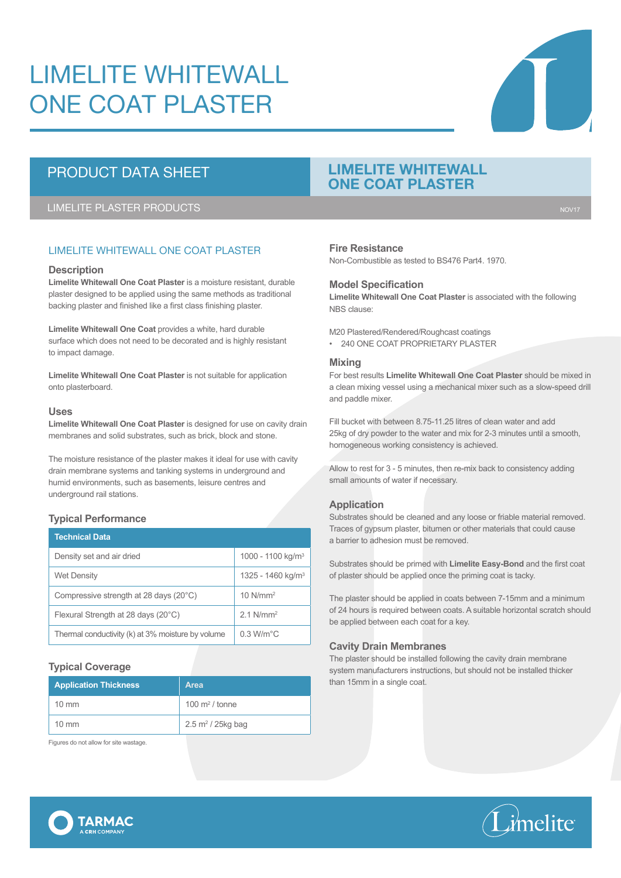# LIMELITE WHITEWALL ONE COAT PLASTER

## PRODUCT DATA SHEET

LIMELITE PLASTER PRODUCTS NOTIFIED AND THE SERVICE OF THE SERVICE OF THE SERVICE OF THE SERVICE OF THE SERVICE

### LIMELITE WHITEWALL ONE COAT PLASTER

#### **Description**

**Limelite Whitewall One Coat Plaster** is a moisture resistant, durable plaster designed to be applied using the same methods as traditional backing plaster and finished like a first class finishing plaster.

**Limelite Whitewall One Coat** provides a white, hard durable surface which does not need to be decorated and is highly resistant to impact damage.

**Limelite Whitewall One Coat Plaster** is not suitable for application onto plasterboard.

#### **Uses**

**Limelite Whitewall One Coat Plaster** is designed for use on cavity drain membranes and solid substrates, such as brick, block and stone.

The moisture resistance of the plaster makes it ideal for use with cavity drain membrane systems and tanking systems in underground and humid environments, such as basements, leisure centres and underground rail stations.

#### **Typical Performance**

| <b>Technical Data</b>                             |                               |
|---------------------------------------------------|-------------------------------|
| Density set and air dried                         | 1000 - 1100 kg/m <sup>3</sup> |
| <b>Wet Density</b>                                | 1325 - 1460 kg/m <sup>3</sup> |
| Compressive strength at 28 days (20°C)            | $10$ N/mm <sup>2</sup>        |
| Flexural Strength at 28 days (20°C)               | $2.1$ N/mm <sup>2</sup>       |
| Thermal conductivity (k) at 3% moisture by volume | 0.3 W/m <sup>o</sup> C        |

#### **Typical Coverage**

| <b>Application Thickness</b> | Area                         |
|------------------------------|------------------------------|
| $10 \text{ mm}$              | $100 \text{ m}^2$ / tonne    |
| $10 \text{ mm}$              | $2.5 \text{ m}^2$ / 25kg bag |

Figures do not allow for site wastage.

**TARMAC** 

### **LIMELITE WHITEWALL ONE COAT PLASTER**

#### **Fire Resistance**

Non-Combustible as tested to BS476 Part4. 1970.

#### **Model Specification**

**Limelite Whitewall One Coat Plaster** is associated with the following NBS clause:

M20 Plastered/Rendered/Roughcast coatings • 240 ONE COAT PROPRIETARY PLASTER

#### **Mixing**

For best results **Limelite Whitewall One Coat Plaster** should be mixed in a clean mixing vessel using a mechanical mixer such as a slow-speed drill and paddle mixer.

Fill bucket with between 8.75-11.25 litres of clean water and add 25kg of dry powder to the water and mix for 2-3 minutes until a smooth, homogeneous working consistency is achieved.

Allow to rest for 3 - 5 minutes, then re-mix back to consistency adding small amounts of water if necessary.

#### **Application**

Substrates should be cleaned and any loose or friable material removed. Traces of gypsum plaster, bitumen or other materials that could cause a barrier to adhesion must be removed.

Substrates should be primed with **Limelite Easy-Bond** and the first coat of plaster should be applied once the priming coat is tacky.

The plaster should be applied in coats between 7-15mm and a minimum of 24 hours is required between coats. A suitable horizontal scratch should be applied between each coat for a key.

#### **Cavity Drain Membranes**

The plaster should be installed following the cavity drain membrane system manufacturers instructions, but should not be installed thicker than 15mm in a single coat.